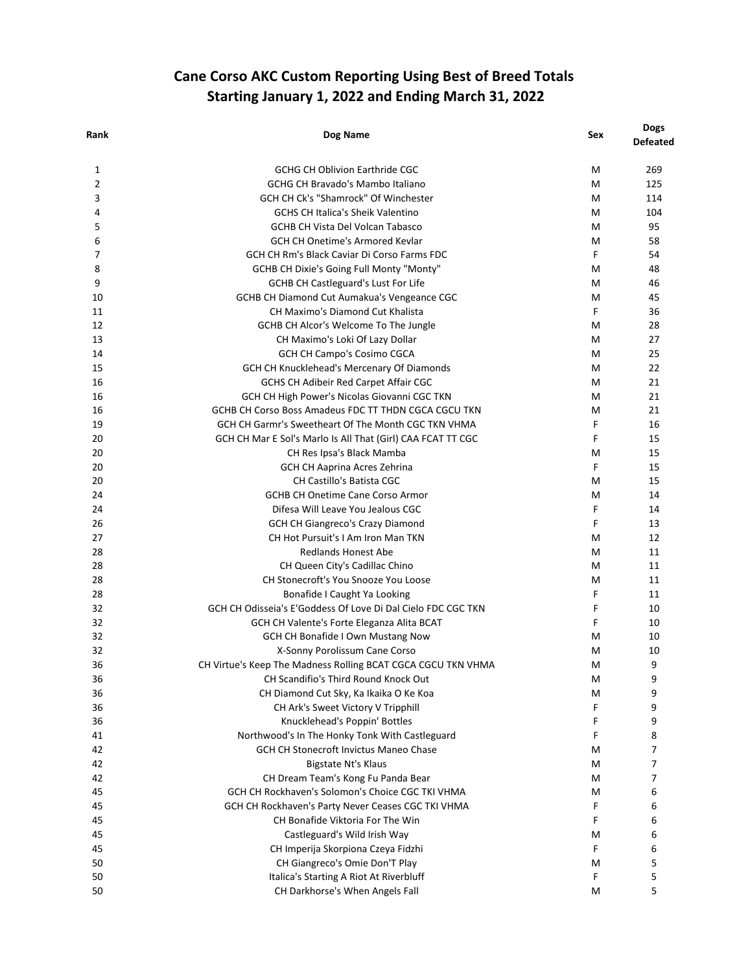## **Cane Corso AKC Custom Reporting Using Best of Breed Totals Starting January 1, 2022 and Ending March 31, 2022**

| Rank | Dog Name                                                     | Sex    | <b>Dogs</b><br><b>Defeated</b> |
|------|--------------------------------------------------------------|--------|--------------------------------|
| 1    | <b>GCHG CH Oblivion Earthride CGC</b>                        | M      | 269                            |
| 2    | <b>GCHG CH Bravado's Mambo Italiano</b>                      | M      | 125                            |
| 3    | GCH CH Ck's "Shamrock" Of Winchester                         | M      | 114                            |
| 4    | <b>GCHS CH Italica's Sheik Valentino</b>                     | м      | 104                            |
| 5    | <b>GCHB CH Vista Del Volcan Tabasco</b>                      | M      | 95                             |
| 6    | <b>GCH CH Onetime's Armored Kevlar</b>                       | M      | 58                             |
| 7    | GCH CH Rm's Black Caviar Di Corso Farms FDC                  | F      | 54                             |
| 8    | GCHB CH Dixie's Going Full Monty "Monty"                     | M      | 48                             |
| 9    | <b>GCHB CH Castleguard's Lust For Life</b>                   | M      | 46                             |
| 10   | GCHB CH Diamond Cut Aumakua's Vengeance CGC                  | M      | 45                             |
| 11   | CH Maximo's Diamond Cut Khalista                             | F      | 36                             |
| 12   | GCHB CH Alcor's Welcome To The Jungle                        | м      | 28                             |
| 13   | CH Maximo's Loki Of Lazy Dollar                              | M      | 27                             |
| 14   | GCH CH Campo's Cosimo CGCA                                   | м      | 25                             |
| 15   | GCH CH Knucklehead's Mercenary Of Diamonds                   | м      | 22                             |
| 16   | GCHS CH Adibeir Red Carpet Affair CGC                        | M      | 21                             |
| 16   | GCH CH High Power's Nicolas Giovanni CGC TKN                 | м      | 21                             |
| 16   | GCHB CH Corso Boss Amadeus FDC TT THDN CGCA CGCU TKN         | M      | 21                             |
| 19   | GCH CH Garmr's Sweetheart Of The Month CGC TKN VHMA          | F      | 16                             |
| 20   | GCH CH Mar E Sol's Marlo Is All That (Girl) CAA FCAT TT CGC  | F      | 15                             |
| 20   | CH Res Ipsa's Black Mamba                                    | M      | 15                             |
| 20   | GCH CH Aaprina Acres Zehrina                                 | F      | 15                             |
| 20   | <b>CH Castillo's Batista CGC</b>                             | м      | 15                             |
| 24   | <b>GCHB CH Onetime Cane Corso Armor</b>                      |        | 14                             |
| 24   |                                                              | M<br>F |                                |
| 26   | Difesa Will Leave You Jealous CGC                            | F      | 14                             |
|      | <b>GCH CH Giangreco's Crazy Diamond</b>                      |        | 13                             |
| 27   | CH Hot Pursuit's I Am Iron Man TKN                           | м      | 12                             |
| 28   | <b>Redlands Honest Abe</b>                                   | м      | 11                             |
| 28   | CH Queen City's Cadillac Chino                               | м      | 11                             |
| 28   | CH Stonecroft's You Snooze You Loose                         | M      | 11                             |
| 28   | Bonafide I Caught Ya Looking                                 | F      | 11                             |
| 32   | GCH CH Odisseia's E'Goddess Of Love Di Dal Cielo FDC CGC TKN | F      | 10                             |
| 32   | GCH CH Valente's Forte Eleganza Alita BCAT                   | F      | 10                             |
| 32   | <b>GCH CH Bonafide I Own Mustang Now</b>                     | M      | 10                             |
| 32   | X-Sonny Porolissum Cane Corso                                | Μ      | 10                             |
| 36   | CH Virtue's Keep The Madness Rolling BCAT CGCA CGCU TKN VHMA | M      | 9                              |
| 36   | CH Scandifio's Third Round Knock Out                         | M      | 9                              |
| 36   | CH Diamond Cut Sky, Ka Ikaika O Ke Koa                       | M      | 9                              |
| 36   | CH Ark's Sweet Victory V Tripphill                           | F      | 9                              |
| 36   | Knucklehead's Poppin' Bottles                                | F      | 9                              |
| 41   | Northwood's In The Honky Tonk With Castleguard               | F      | 8                              |
| 42   | <b>GCH CH Stonecroft Invictus Maneo Chase</b>                | м      | 7                              |
| 42   | Bigstate Nt's Klaus                                          | M      | $\overline{7}$                 |
| 42   | CH Dream Team's Kong Fu Panda Bear                           | Μ      | 7                              |
| 45   | GCH CH Rockhaven's Solomon's Choice CGC TKI VHMA             | Μ      | 6                              |
| 45   | GCH CH Rockhaven's Party Never Ceases CGC TKI VHMA           | F      | 6                              |
| 45   | CH Bonafide Viktoria For The Win                             | F      | 6                              |
| 45   | Castleguard's Wild Irish Way                                 | Μ      | 6                              |
| 45   | CH Imperija Skorpiona Czeya Fidzhi                           | F      | 6                              |
| 50   | CH Giangreco's Omie Don'T Play                               | M      | 5                              |
| 50   | Italica's Starting A Riot At Riverbluff                      | F      | 5                              |
| 50   | CH Darkhorse's When Angels Fall                              | M      | 5                              |